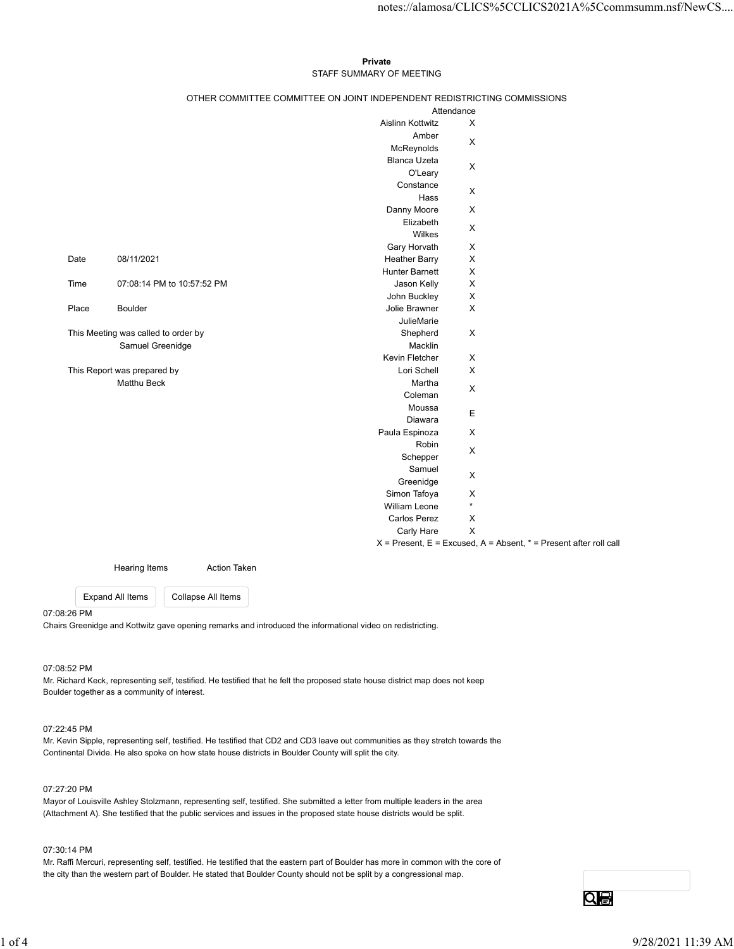#### Private **Private** and *Private* and *Private* and *Private* and *Private* and *Private* and *Private* and *Private* and *Private* and *Private* and *Private* and *Private* and *Private* and *Private* and *Private* and *Pri* STAFF SUMMARY OF MEETING

| Private<br>STAFF SUMMARY OF MEETING<br>OTHER COMMITTEE COMMITTEE ON JOINT INDEPENDENT REDISTRICTING COMMISSIONS<br>Attendance<br>Aislinn Kottwitz<br>X<br>Amber<br>$\mathsf X$<br>McReynolds<br><b>Blanca Uzeta</b><br>$\mathsf{X}$<br>O'Leary<br>Constance<br>$\mathsf X$<br>Hass<br>$\boldsymbol{\mathsf{X}}$<br>Danny Moore<br>Elizabeth<br>$\boldsymbol{\mathsf{X}}$<br>Wilkes<br>Gary Horvath<br>$\mathsf X$<br>08/11/2021<br><b>Heather Barry</b><br>$\mathsf X$<br>Hunter Barnett<br>$\boldsymbol{\mathsf{X}}$<br>$\boldsymbol{\mathsf{X}}$<br>07:08:14 PM to 10:57:52 PM<br>Jason Kelly<br>$\mathsf X$<br>John Buckley<br>$\boldsymbol{\mathsf{X}}$<br><b>Boulder</b><br>Jolie Brawner<br>JulieMarie<br>$\mathsf X$<br>Shepherd<br>Samuel Greenidge<br>Macklin<br>Kevin Fletcher<br>$\mathsf X$<br>$\mathsf X$<br>Lori Schell<br>Matthu Beck<br>Martha<br>$\mathsf X$<br>Coleman<br>Moussa<br>$\mathsf E$<br>Diawara<br>$\mathsf X$<br>Paula Espinoza<br>Robin<br>$\mathsf X$<br>Schepper<br>Samuel<br>$\mathsf X$<br>Greenidge<br>Simon Tafoya<br>X<br>$\star$<br>William Leone<br>$\mathsf X$<br>Carlos Perez<br>$\mathsf X$<br>Carly Hare<br>$X =$ Present, $E =$ Excused, $A =$ Absent, $* =$ Present after roll call<br>Action Taken<br>Hearing Items | Date<br>Time<br>Place<br>This Meeting was called to order by<br>This Report was prepared by |
|--------------------------------------------------------------------------------------------------------------------------------------------------------------------------------------------------------------------------------------------------------------------------------------------------------------------------------------------------------------------------------------------------------------------------------------------------------------------------------------------------------------------------------------------------------------------------------------------------------------------------------------------------------------------------------------------------------------------------------------------------------------------------------------------------------------------------------------------------------------------------------------------------------------------------------------------------------------------------------------------------------------------------------------------------------------------------------------------------------------------------------------------------------------------------------------------------------------------------------------------------------------------|---------------------------------------------------------------------------------------------|
|                                                                                                                                                                                                                                                                                                                                                                                                                                                                                                                                                                                                                                                                                                                                                                                                                                                                                                                                                                                                                                                                                                                                                                                                                                                                    |                                                                                             |
|                                                                                                                                                                                                                                                                                                                                                                                                                                                                                                                                                                                                                                                                                                                                                                                                                                                                                                                                                                                                                                                                                                                                                                                                                                                                    |                                                                                             |
|                                                                                                                                                                                                                                                                                                                                                                                                                                                                                                                                                                                                                                                                                                                                                                                                                                                                                                                                                                                                                                                                                                                                                                                                                                                                    |                                                                                             |
|                                                                                                                                                                                                                                                                                                                                                                                                                                                                                                                                                                                                                                                                                                                                                                                                                                                                                                                                                                                                                                                                                                                                                                                                                                                                    |                                                                                             |
|                                                                                                                                                                                                                                                                                                                                                                                                                                                                                                                                                                                                                                                                                                                                                                                                                                                                                                                                                                                                                                                                                                                                                                                                                                                                    |                                                                                             |
|                                                                                                                                                                                                                                                                                                                                                                                                                                                                                                                                                                                                                                                                                                                                                                                                                                                                                                                                                                                                                                                                                                                                                                                                                                                                    |                                                                                             |
|                                                                                                                                                                                                                                                                                                                                                                                                                                                                                                                                                                                                                                                                                                                                                                                                                                                                                                                                                                                                                                                                                                                                                                                                                                                                    |                                                                                             |
|                                                                                                                                                                                                                                                                                                                                                                                                                                                                                                                                                                                                                                                                                                                                                                                                                                                                                                                                                                                                                                                                                                                                                                                                                                                                    |                                                                                             |
|                                                                                                                                                                                                                                                                                                                                                                                                                                                                                                                                                                                                                                                                                                                                                                                                                                                                                                                                                                                                                                                                                                                                                                                                                                                                    |                                                                                             |
|                                                                                                                                                                                                                                                                                                                                                                                                                                                                                                                                                                                                                                                                                                                                                                                                                                                                                                                                                                                                                                                                                                                                                                                                                                                                    |                                                                                             |
|                                                                                                                                                                                                                                                                                                                                                                                                                                                                                                                                                                                                                                                                                                                                                                                                                                                                                                                                                                                                                                                                                                                                                                                                                                                                    |                                                                                             |
|                                                                                                                                                                                                                                                                                                                                                                                                                                                                                                                                                                                                                                                                                                                                                                                                                                                                                                                                                                                                                                                                                                                                                                                                                                                                    |                                                                                             |
|                                                                                                                                                                                                                                                                                                                                                                                                                                                                                                                                                                                                                                                                                                                                                                                                                                                                                                                                                                                                                                                                                                                                                                                                                                                                    |                                                                                             |
|                                                                                                                                                                                                                                                                                                                                                                                                                                                                                                                                                                                                                                                                                                                                                                                                                                                                                                                                                                                                                                                                                                                                                                                                                                                                    |                                                                                             |
|                                                                                                                                                                                                                                                                                                                                                                                                                                                                                                                                                                                                                                                                                                                                                                                                                                                                                                                                                                                                                                                                                                                                                                                                                                                                    |                                                                                             |
|                                                                                                                                                                                                                                                                                                                                                                                                                                                                                                                                                                                                                                                                                                                                                                                                                                                                                                                                                                                                                                                                                                                                                                                                                                                                    |                                                                                             |
|                                                                                                                                                                                                                                                                                                                                                                                                                                                                                                                                                                                                                                                                                                                                                                                                                                                                                                                                                                                                                                                                                                                                                                                                                                                                    |                                                                                             |
|                                                                                                                                                                                                                                                                                                                                                                                                                                                                                                                                                                                                                                                                                                                                                                                                                                                                                                                                                                                                                                                                                                                                                                                                                                                                    |                                                                                             |
|                                                                                                                                                                                                                                                                                                                                                                                                                                                                                                                                                                                                                                                                                                                                                                                                                                                                                                                                                                                                                                                                                                                                                                                                                                                                    |                                                                                             |
|                                                                                                                                                                                                                                                                                                                                                                                                                                                                                                                                                                                                                                                                                                                                                                                                                                                                                                                                                                                                                                                                                                                                                                                                                                                                    |                                                                                             |
|                                                                                                                                                                                                                                                                                                                                                                                                                                                                                                                                                                                                                                                                                                                                                                                                                                                                                                                                                                                                                                                                                                                                                                                                                                                                    |                                                                                             |
|                                                                                                                                                                                                                                                                                                                                                                                                                                                                                                                                                                                                                                                                                                                                                                                                                                                                                                                                                                                                                                                                                                                                                                                                                                                                    |                                                                                             |
|                                                                                                                                                                                                                                                                                                                                                                                                                                                                                                                                                                                                                                                                                                                                                                                                                                                                                                                                                                                                                                                                                                                                                                                                                                                                    |                                                                                             |
|                                                                                                                                                                                                                                                                                                                                                                                                                                                                                                                                                                                                                                                                                                                                                                                                                                                                                                                                                                                                                                                                                                                                                                                                                                                                    |                                                                                             |
|                                                                                                                                                                                                                                                                                                                                                                                                                                                                                                                                                                                                                                                                                                                                                                                                                                                                                                                                                                                                                                                                                                                                                                                                                                                                    |                                                                                             |
|                                                                                                                                                                                                                                                                                                                                                                                                                                                                                                                                                                                                                                                                                                                                                                                                                                                                                                                                                                                                                                                                                                                                                                                                                                                                    |                                                                                             |
|                                                                                                                                                                                                                                                                                                                                                                                                                                                                                                                                                                                                                                                                                                                                                                                                                                                                                                                                                                                                                                                                                                                                                                                                                                                                    |                                                                                             |
|                                                                                                                                                                                                                                                                                                                                                                                                                                                                                                                                                                                                                                                                                                                                                                                                                                                                                                                                                                                                                                                                                                                                                                                                                                                                    |                                                                                             |
|                                                                                                                                                                                                                                                                                                                                                                                                                                                                                                                                                                                                                                                                                                                                                                                                                                                                                                                                                                                                                                                                                                                                                                                                                                                                    |                                                                                             |
|                                                                                                                                                                                                                                                                                                                                                                                                                                                                                                                                                                                                                                                                                                                                                                                                                                                                                                                                                                                                                                                                                                                                                                                                                                                                    |                                                                                             |
|                                                                                                                                                                                                                                                                                                                                                                                                                                                                                                                                                                                                                                                                                                                                                                                                                                                                                                                                                                                                                                                                                                                                                                                                                                                                    |                                                                                             |
|                                                                                                                                                                                                                                                                                                                                                                                                                                                                                                                                                                                                                                                                                                                                                                                                                                                                                                                                                                                                                                                                                                                                                                                                                                                                    |                                                                                             |
|                                                                                                                                                                                                                                                                                                                                                                                                                                                                                                                                                                                                                                                                                                                                                                                                                                                                                                                                                                                                                                                                                                                                                                                                                                                                    |                                                                                             |
| notes://alamosa/CLICS%5CCLICS2021A%5Ccommsumm.nsf/NewCS                                                                                                                                                                                                                                                                                                                                                                                                                                                                                                                                                                                                                                                                                                                                                                                                                                                                                                                                                                                                                                                                                                                                                                                                            |                                                                                             |

07:08:26 PM

Chairs Greenidge and Kottwitz gave opening remarks and introduced the informational video on redistricting.

#### 07:08:52 PM

Mr. Richard Keck, representing self, testified. He testified that he felt the proposed state house district map does not keep Boulder together as a community of interest. 07:08:52 PM<br>
M. Richard Kook, representing self, teatlfied. He teatflied that he felt the proposed state house district map does not keep<br>
Boulder together as a community of interest.<br>
19722-45 PM<br>
M. Kevin Stephe, repres

#### 07:22:45 PM

Mr. Kevin Sipple, representing self, testified. He testified that CD2 and CD3 leave out communities as they stretch towards the Continental Divide. He also spoke on how state house districts in Boulder County will split the city.

#### 07:27:20 PM

Mayor of Louisville Ashley Stolzmann, representing self, testified. She submitted a letter from multiple leaders in the area (Attachment A). She testified that the public services and issues in the proposed state house districts would be split.

#### 07:30:14 PM

Mr. Raffi Mercuri, representing self, testified. He testified that the eastern part of Boulder has more in common with the core of the city than the western part of Boulder. He stated that Boulder County should not be split by a congressional map.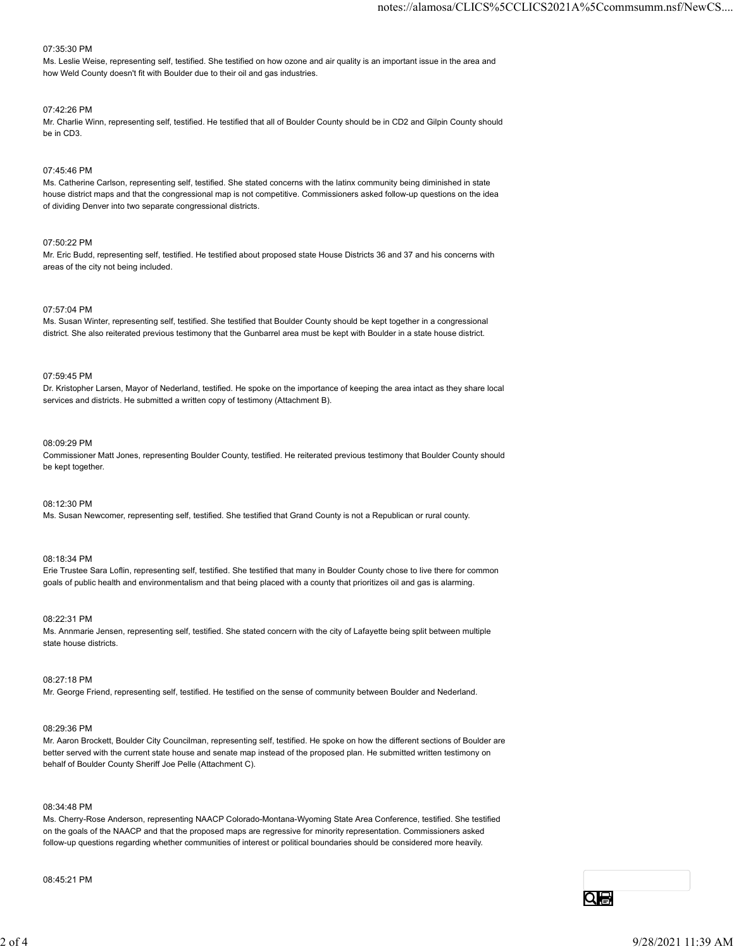#### 07:35:30 PM

Ms. Leslie Weise, representing self, testified. She testified on how ozone and air quality is an important issue in the area and how Weld County doesn't fit with Boulder due to their oil and gas industries.

#### 07:42:26 PM

Mr. Charlie Winn, representing self, testified. He testified that all of Boulder County should be in CD2 and Gilpin County should be in CD3.

#### 07:45:46 PM

Ms. Catherine Carlson, representing self, testified. She stated concerns with the latinx community being diminished in state house district maps and that the congressional map is not competitive. Commissioners asked follow-up questions on the idea of dividing Denver into two separate congressional districts.

#### 07:50:22 PM

Mr. Eric Budd, representing self, testified. He testified about proposed state House Districts 36 and 37 and his concerns with areas of the city not being included.

#### 07:57:04 PM

Ms. Susan Winter, representing self, testified. She testified that Boulder County should be kept together in a congressional district. She also reiterated previous testimony that the Gunbarrel area must be kept with Boulder in a state house district.

#### 07:59:45 PM

Dr. Kristopher Larsen, Mayor of Nederland, testified. He spoke on the importance of keeping the area intact as they share local services and districts. He submitted a written copy of testimony (Attachment B).

#### 08:09:29 PM

Commissioner Matt Jones, representing Boulder County, testified. He reiterated previous testimony that Boulder County should be kept together.

#### 08:12:30 PM

Ms. Susan Newcomer, representing self, testified. She testified that Grand County is not a Republican or rural county.

#### 08:18:34 PM

Erie Trustee Sara Loflin, representing self, testified. She testified that many in Boulder County chose to live there for common goals of public health and environmentalism and that being placed with a county that prioritizes oil and gas is alarming.

#### 08:22:31 PM

Ms. Annmarie Jensen, representing self, testified. She stated concern with the city of Lafayette being split between multiple state house districts.

#### 08:27:18 PM

Mr. George Friend, representing self, testified. He testified on the sense of community between Boulder and Nederland.

#### 08:29:36 PM

Mr. Aaron Brockett, Boulder City Councilman, representing self, testified. He spoke on how the different sections of Boulder are better served with the current state house and senate map instead of the proposed plan. He submitted written testimony on behalf of Boulder County Sheriff Joe Pelle (Attachment C). M. Antoninar element, representing sell, testilied. She states concern with the dry of Labyette being split between multiple<br>
20 of 27:18 PM<br>
Mr. George Friend, representing sell, restified. He testilled on the sense of co

#### 08:34:48 PM

Ms. Cherry-Rose Anderson, representing NAACP Colorado-Montana-Wyoming State Area Conference, testified. She testified on the goals of the NAACP and that the proposed maps are regressive for minority representation. Commissioners asked follow-up questions regarding whether communities of interest or political boundaries should be considered more heavily.

#### 08:45:21 PM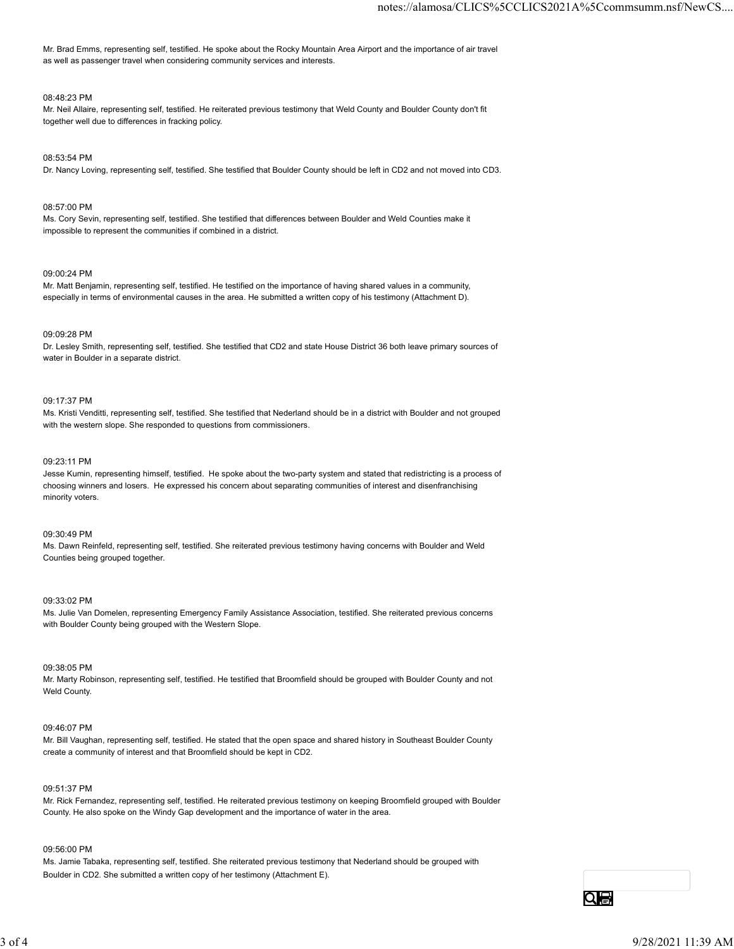Mr. Brad Emms, representing self, testified. He spoke about the Rocky Mountain Area Airport and the importance of air travel as well as passenger travel when considering community services and interests.

#### 08:48:23 PM

Mr. Neil Allaire, representing self, testified. He reiterated previous testimony that Weld County and Boulder County don't fit together well due to differences in fracking policy.

#### 08:53:54 PM

Dr. Nancy Loving, representing self, testified. She testified that Boulder County should be left in CD2 and not moved into CD3.

#### 08:57:00 PM

Ms. Cory Sevin, representing self, testified. She testified that differences between Boulder and Weld Counties make it impossible to represent the communities if combined in a district.

#### 09:00:24 PM

Mr. Matt Benjamin, representing self, testified. He testified on the importance of having shared values in a community, especially in terms of environmental causes in the area. He submitted a written copy of his testimony (Attachment D).

#### 09:09:28 PM

Dr. Lesley Smith, representing self, testified. She testified that CD2 and state House District 36 both leave primary sources of water in Boulder in a separate district.

#### 09:17:37 PM

Ms. Kristi Venditti, representing self, testified. She testified that Nederland should be in a district with Boulder and not grouped with the western slope. She responded to questions from commissioners.

#### 09:23:11 PM

Jesse Kumin, representing himself, testified. He spoke about the two-party system and stated that redistricting is a process of choosing winners and losers. He expressed his concern about separating communities of interest and disenfranchising minority voters.

#### 09:30:49 PM

Ms. Dawn Reinfeld, representing self, testified. She reiterated previous testimony having concerns with Boulder and Weld Counties being grouped together.

#### 09:33:02 PM

Ms. Julie Van Domelen, representing Emergency Family Assistance Association, testified. She reiterated previous concerns with Boulder County being grouped with the Western Slope.

#### 09:38:05 PM

Mr. Marty Robinson, representing self, testified. He testified that Broomfield should be grouped with Boulder County and not Weld County.

#### 09:46:07 PM

Mr. Bill Vaughan, representing self, testified. He stated that the open space and shared history in Southeast Boulder County create a community of interest and that Broomfield should be kept in CD2.

#### 09:51:37 PM

Mr. Rick Fernandez, representing self, testified. He reiterated previous testimony on keeping Broomfield grouped with Boulder County. He also spoke on the Windy Gap development and the importance of water in the area. 08.38.05 PM<br>M. Mary Rochmison, representing self, testfled. He testified that Broomfield should be grouped with Boulder County and not<br>Weld County.<br>W. 49/207 PM<br>M. Bill Vanglian, representing self, bastified. He stated tha

#### 09:56:00 PM

Ms. Jamie Tabaka, representing self, testified. She reiterated previous testimony that Nederland should be grouped with Boulder in CD2. She submitted a written copy of her testimony (Attachment E).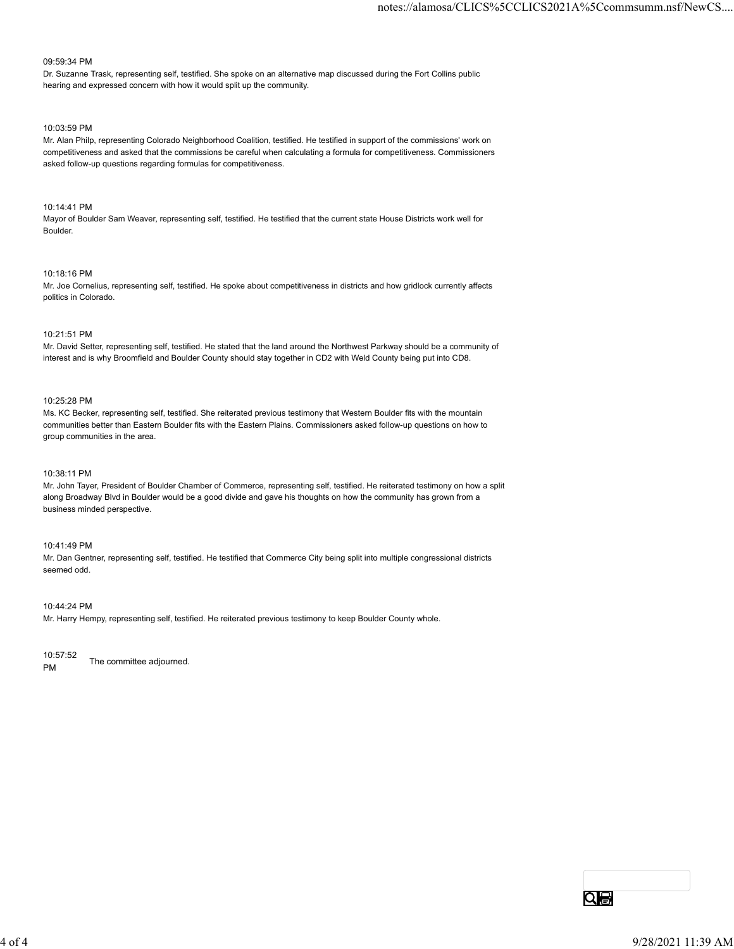#### 09:59:34 PM

Dr. Suzanne Trask, representing self, testified. She spoke on an alternative map discussed during the Fort Collins public hearing and expressed concern with how it would split up the community.

#### 10:03:59 PM

Mr. Alan Philp, representing Colorado Neighborhood Coalition, testified. He testified in support of the commissions' work on competitiveness and asked that the commissions be careful when calculating a formula for competitiveness. Commissioners asked follow-up questions regarding formulas for competitiveness.

#### 10:14:41 PM

Mayor of Boulder Sam Weaver, representing self, testified. He testified that the current state House Districts work well for Boulder.

#### 10:18:16 PM

Mr. Joe Cornelius, representing self, testified. He spoke about competitiveness in districts and how gridlock currently affects politics in Colorado.

#### 10:21:51 PM

Mr. David Setter, representing self, testified. He stated that the land around the Northwest Parkway should be a community of interest and is why Broomfield and Boulder County should stay together in CD2 with Weld County being put into CD8.

#### 10:25:28 PM

Ms. KC Becker, representing self, testified. She reiterated previous testimony that Western Boulder fits with the mountain communities better than Eastern Boulder fits with the Eastern Plains. Commissioners asked follow-up questions on how to group communities in the area.

#### 10:38:11 PM

Mr. John Tayer, President of Boulder Chamber of Commerce, representing self, testified. He reiterated testimony on how a split along Broadway Blvd in Boulder would be a good divide and gave his thoughts on how the community has grown from a business minded perspective.

#### 10:41:49 PM

Mr. Dan Gentner, representing self, testified. He testified that Commerce City being split into multiple congressional districts seemed odd.

#### 10:44:24 PM

Mr. Harry Hempy, representing self, testified. He reiterated previous testimony to keep Boulder County whole.

10:57:52 PM The committee adjourned.  $^{10.57.52}$  The committee adjourned.<br>
PM<br>  $\overline{\text{Q}}$  of 4<br>  $^{10.4}$  of 4<br>  $^{9/28/2021}$   $11:39$  AM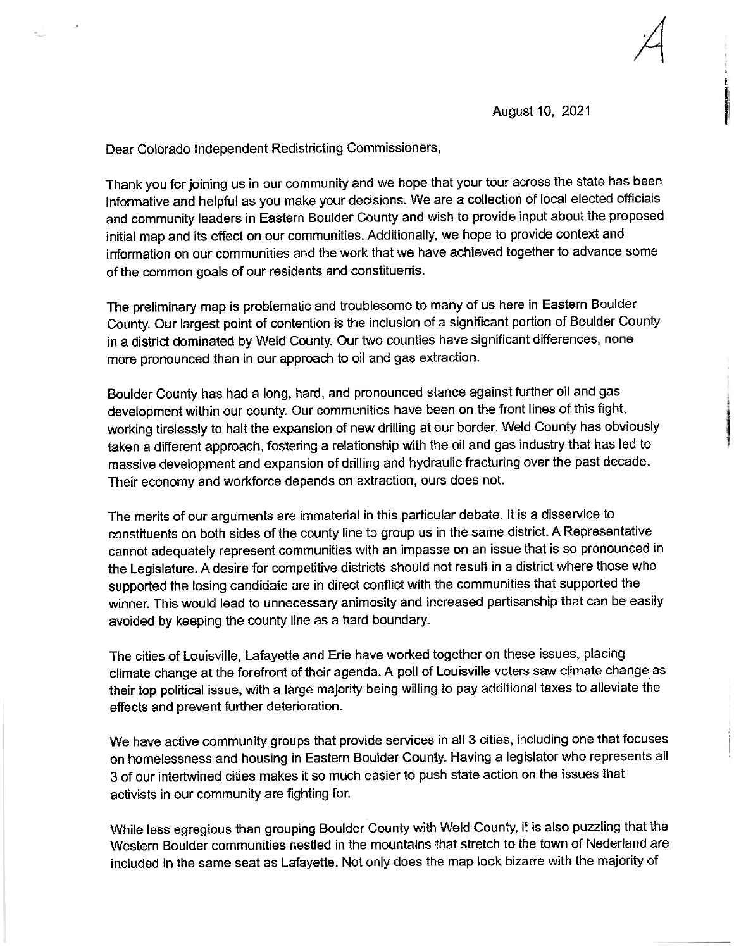August 10, 2021

Dear Colorado Independent Redistricting Commissioners,

Thank you for joining us in our community and we hope that your tour across the state has been informative and helpful as you make your decisions. We are a collection of local elected officials and community leaders in Eastern Boulder County and wish to provide input about the proposed initial map and its effect on our communities. Additionally, we hope to provide context and information on our communities and the work that we have achieved together to advance some of the common goals of our residents and constituents.

The preliminary map is problematic and troublesome to many of us here in Eastern Boulder County. Our largest point of contention is the inclusion of a significant portion of Boulder County in a district dominated by Weld County. Our two counties have significant differences, none more pronounced than in our approach to oil and gas extraction.

Boulder County has had a long, hard, and pronounced stance against further oil and gas development within our county. Our communities have been on the front lines of this fight, working tirelessly to halt the expansion of new drilling at our border. Weld County has obviously taken a different approach, fostering a relationship with the oil and gas industry that has led to massive development and expansion of drilling and hydraulic fracturing over the past decade. Their economy and workforce depends on extraction, ours does not.

The merits of our arguments are immaterial in this particular debate. It is a disservice to constituents on both sides of the county line to group us in the same district. A Representative cannot adequately represent communities with an impasse on an issue that is so pronounced in the Legislature. A desire for competitive districts should not result in a district where those who supported the losing candidate are in direct conflict with the communities that supported the winner. This would lead to unnecessary animosity and increased partisanship that can be easily avoided by keeping the county line as a hard boundary.

The cities of Louisville, Lafayette and Erie have worked together on these issues, placing climate change at the forefront of their agenda. A poll of Louisville voters saw climate change as their top political issue, with a large majority being willing to pay additional taxes to alleviate the effects and prevent further deterioration.

We have active community groups that provide services in all 3 cities, including one that focuses on homelessness and housing in Eastern Boulder County. Having a legislator who represents all 3 of our intertwined cities makes it so much easier to push state action on the issues that activists in our community are fighting for.

While less egregious than grouping Boulder County with Weld County, it is also puzzling that the Western Boulder communities nestled in the mountains that stretch to the town of Nederland are included in the same seat as Lafayette. Not only does the map look bizarre with the majority of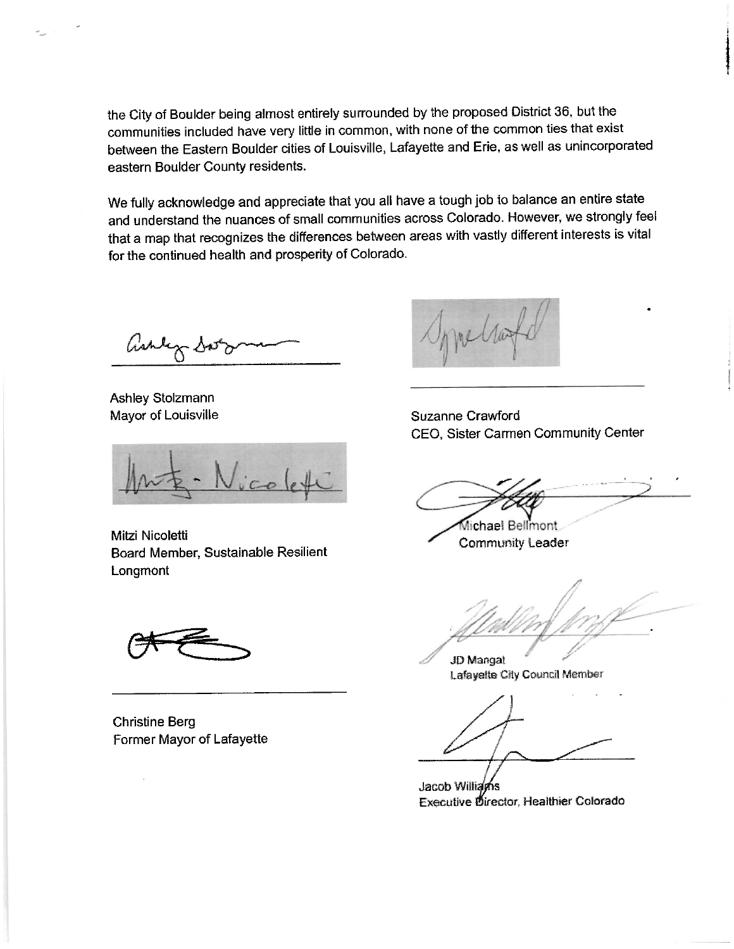the City of Boulder being almost entirely surrounded by the proposed District 36, but the communities included have very little in common, with none of the common ties that exist between the Eastern Boulder cities of Louisville, Lafayette and Erie, as well as unincorporated eastern Boulder County residents.

We fully acknowledge and appreciate that you all have a tough job to balance an entire state and understand the nuances of small communities across Colorado. However, we strongly feel that a map that recognizes the differences between areas with vastly different interests is vital for the continued health and prosperity of Colorado.

ashly so

Ashley Stolzmann Mayor of Louisville

Mitzi Nicoletti Board Member, Sustainable Resilient Longmont

**Christine Berg** Former Mayor of Lafayette

Sprellag

Suzanne Crawford CEO, Sister Carmen Community Center

Michael Bellmont **Community Leader** 

JD Mangat Lafayette City Council Member

Jacob Williams **Executive Director, Healthier Colorado**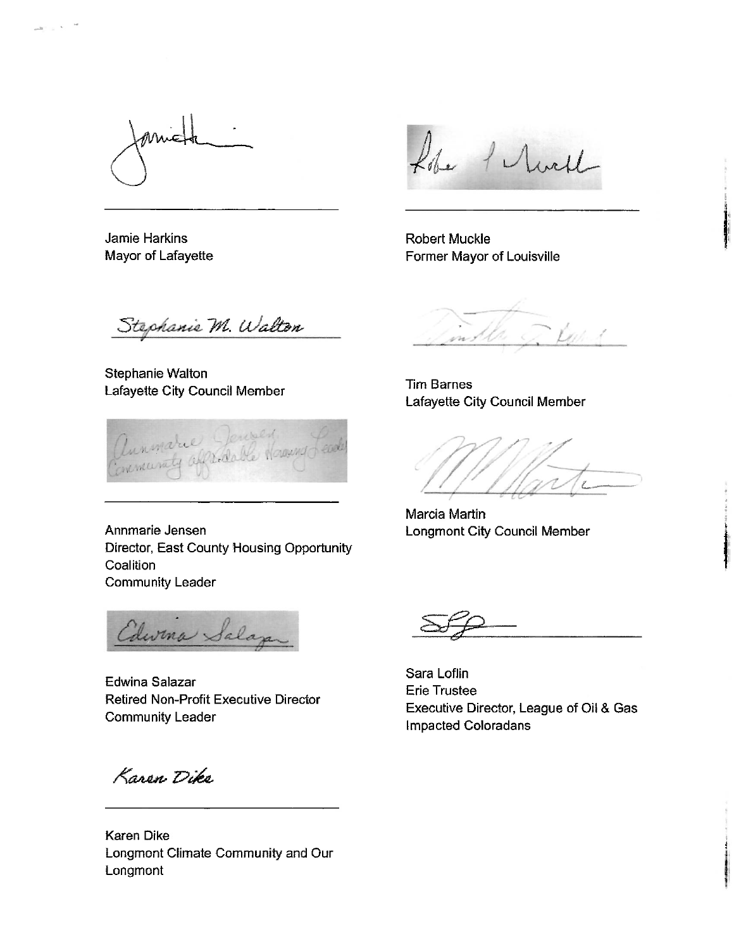**Jamie Harkins** Mayor of Lafayette

the 1 rule

**Robert Muckle** Former Mayor of Louisville

Stephanie M. Walton

Stephanie Walton Lafayette City Council Member

Annmarie Jenner

Annmarie Jensen Director, East County Housing Opportunity Coalition **Community Leader** 

Edwina Salaza

Edwina Salazar **Retired Non-Profit Executive Director Community Leader** 

Karen Dike

**Karen Dike** Longmont Climate Community and Our Longmont

mother of Keep of

**Tim Barnes** Lafayette City Council Member

Marcia Martin Longmont City Council Member

Sara Loflin Erie Trustee Executive Director, League of Oil & Gas Impacted Coloradans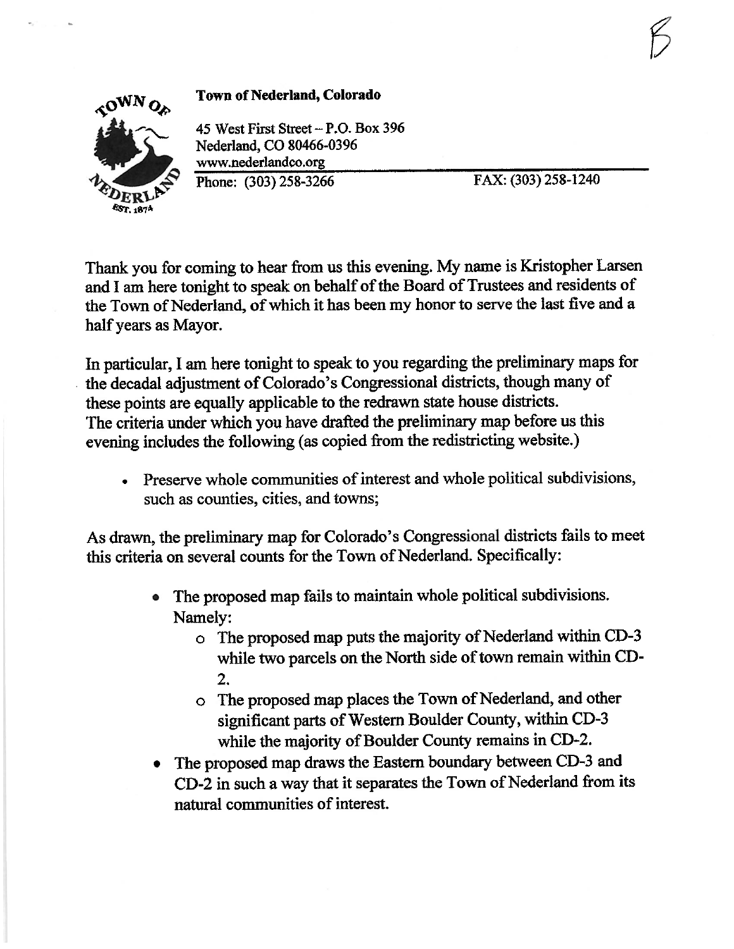

**Town of Nederland, Colorado** 

45 West First Street - P.O. Box 396 Nederland, CO 80466-0396 www.nederlandco.org Phone: (303) 258-3266

FAX: (303) 258-1240

Thank you for coming to hear from us this evening. My name is Kristopher Larsen and I am here tonight to speak on behalf of the Board of Trustees and residents of the Town of Nederland, of which it has been my honor to serve the last five and a half years as Mayor.

In particular, I am here tonight to speak to you regarding the preliminary maps for the decadal adjustment of Colorado's Congressional districts, though many of these points are equally applicable to the redrawn state house districts. The criteria under which you have drafted the preliminary map before us this evening includes the following (as copied from the redistricting website.)

Preserve whole communities of interest and whole political subdivisions, such as counties, cities, and towns;

As drawn, the preliminary map for Colorado's Congressional districts fails to meet this criteria on several counts for the Town of Nederland. Specifically:

- The proposed map fails to maintain whole political subdivisions. Namely:
	- o The proposed map puts the majority of Nederland within CD-3 while two parcels on the North side of town remain within CD- $2.$
	- o The proposed map places the Town of Nederland, and other significant parts of Western Boulder County, within CD-3 while the majority of Boulder County remains in CD-2.
- The proposed map draws the Eastern boundary between CD-3 and CD-2 in such a way that it separates the Town of Nederland from its natural communities of interest.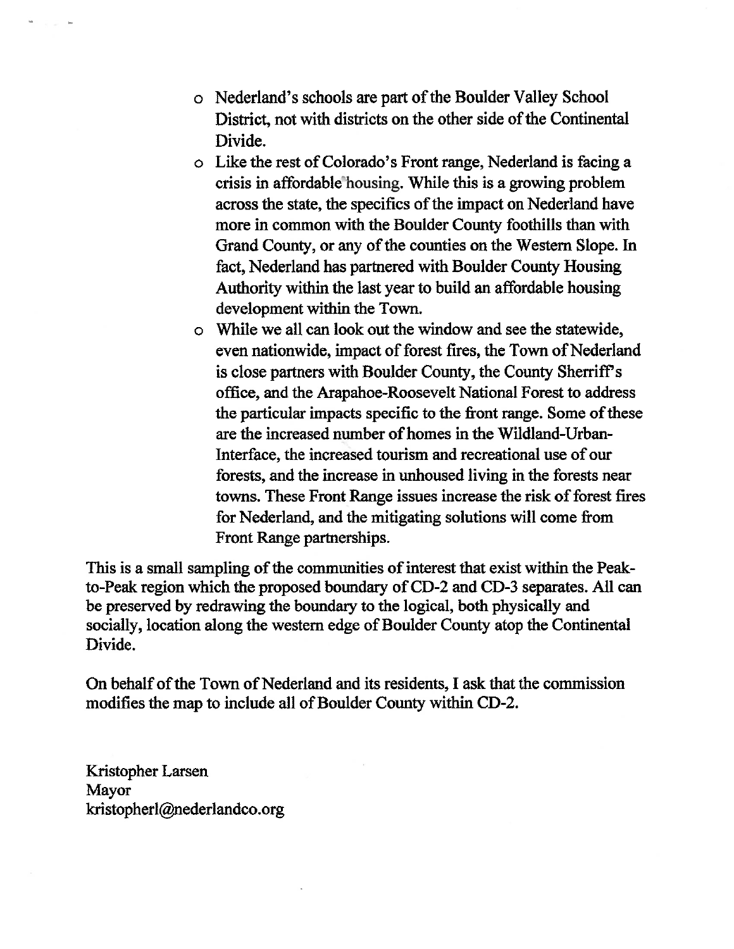- o Nederland's schools are part of the Boulder Valley School District, not with districts on the other side of the Continental Divide.
- o Like the rest of Colorado's Front range, Nederland is facing a crisis in affordable housing. While this is a growing problem across the state, the specifics of the impact on Nederland have more in common with the Boulder County foothills than with Grand County, or any of the counties on the Western Slope. In fact, Nederland has partnered with Boulder County Housing Authority within the last year to build an affordable housing development within the Town.
- o While we all can look out the window and see the statewide, even nationwide, impact of forest fires, the Town of Nederland is close partners with Boulder County, the County Sherriff's office, and the Arapahoe-Roosevelt National Forest to address the particular impacts specific to the front range. Some of these are the increased number of homes in the Wildland-Urban-Interface, the increased tourism and recreational use of our forests, and the increase in unhoused living in the forests near towns. These Front Range issues increase the risk of forest fires for Nederland, and the mitigating solutions will come from Front Range partnerships.

This is a small sampling of the communities of interest that exist within the Peakto-Peak region which the proposed boundary of CD-2 and CD-3 separates. All can be preserved by redrawing the boundary to the logical, both physically and socially, location along the western edge of Boulder County atop the Continental Divide.

On behalf of the Town of Nederland and its residents, I ask that the commission modifies the map to include all of Boulder County within CD-2.

Kristopher Larsen Mayor kristopherl@nederlandco.org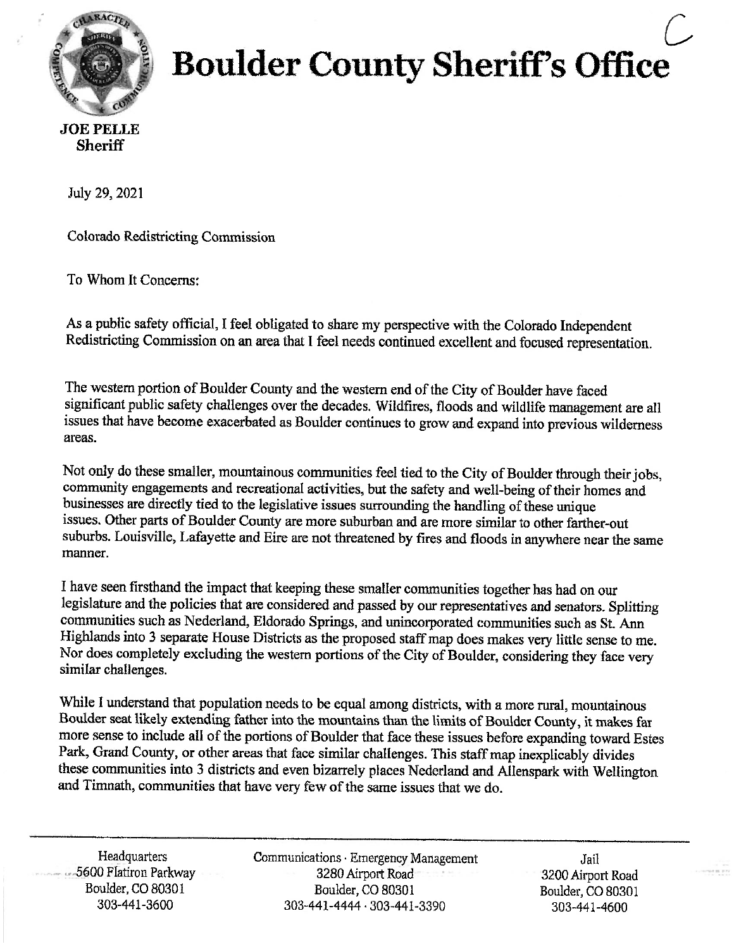

# **Boulder County Sheriff's Office**

## **Sheriff**

July 29, 2021

**Colorado Redistricting Commission** 

To Whom It Concerns:

As a public safety official, I feel obligated to share my perspective with the Colorado Independent Redistricting Commission on an area that I feel needs continued excellent and focused representation.

The western portion of Boulder County and the western end of the City of Boulder have faced significant public safety challenges over the decades. Wildfires, floods and wildlife management are all issues that have become exacerbated as Boulder continues to grow and expand into previous wilderness areas.

Not only do these smaller, mountainous communities feel tied to the City of Boulder through their jobs, community engagements and recreational activities, but the safety and well-being of their homes and businesses are directly tied to the legislative issues surrounding the handling of these unique issues. Other parts of Boulder County are more suburban and are more similar to other farther-out suburbs. Louisville, Lafayette and Eire are not threatened by fires and floods in anywhere near the same manner.

I have seen firsthand the impact that keeping these smaller communities together has had on our legislature and the policies that are considered and passed by our representatives and senators. Splitting communities such as Nederland, Eldorado Springs, and unincorporated communities such as St. Ann Highlands into 3 separate House Districts as the proposed staff map does makes very little sense to me. Nor does completely excluding the western portions of the City of Boulder, considering they face very similar challenges.

While I understand that population needs to be equal among districts, with a more rural, mountainous Boulder seat likely extending father into the mountains than the limits of Boulder County, it makes far more sense to include all of the portions of Boulder that face these issues before expanding toward Estes Park, Grand County, or other areas that face similar challenges. This staff map inexplicably divides these communities into 3 districts and even bizarrely places Nederland and Allenspark with Wellington and Timnath, communities that have very few of the same issues that we do.

Headquarters - 5600 Flatiron Parkway Boulder, CO 80301 303-441-3600

Communications · Emergency Management 3280 Airport Road Boulder, CO 80301 303-441-4444 · 303-441-3390

Jail 3200 Airport Road Boulder, CO 80301 303-441-4600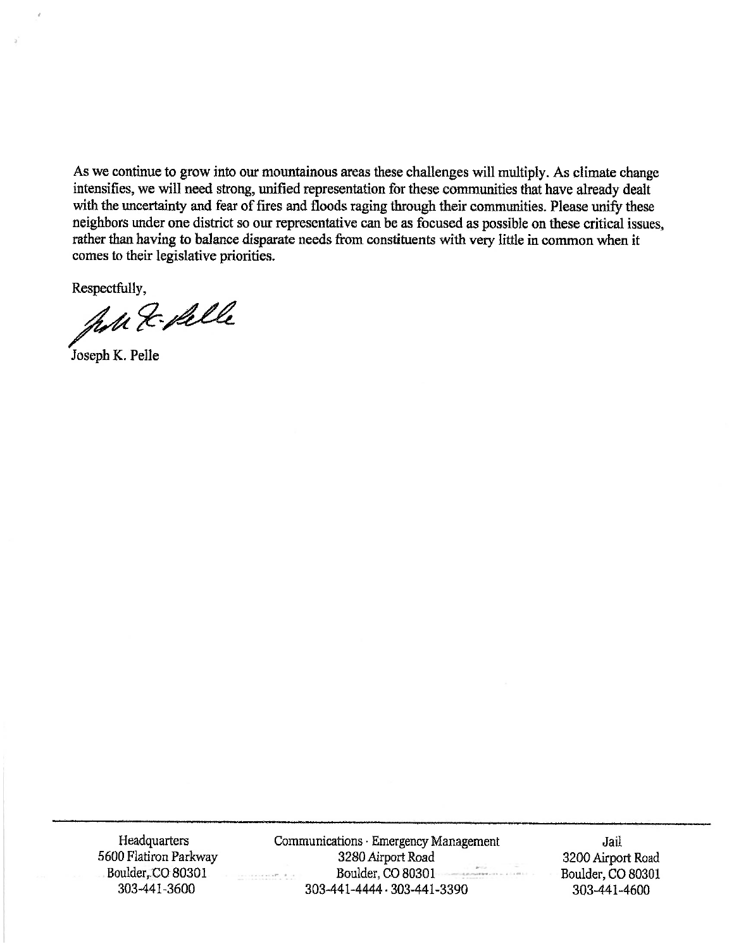As we continue to grow into our mountainous areas these challenges will multiply. As climate change intensifies, we will need strong, unified representation for these communities that have already dealt with the uncertainty and fear of fires and floods raging through their communities. Please unify these neighbors under one district so our representative can be as focused as possible on these critical issues, rather than having to balance disparate needs from constituents with very little in common when it comes to their legislative priorities.

Respectfully,

John & Salle

Joseph K. Pelle

Headquarters 5600 Flatiron Parkway Boulder, CO 80301 303-441-3600

Communications · Emergency Management 3280 Airport Road Boulder, CO 80301 303-441-4444 - 303-441-3390

Jail 3200 Airport Road Boulder, CO 80301 303-441-4600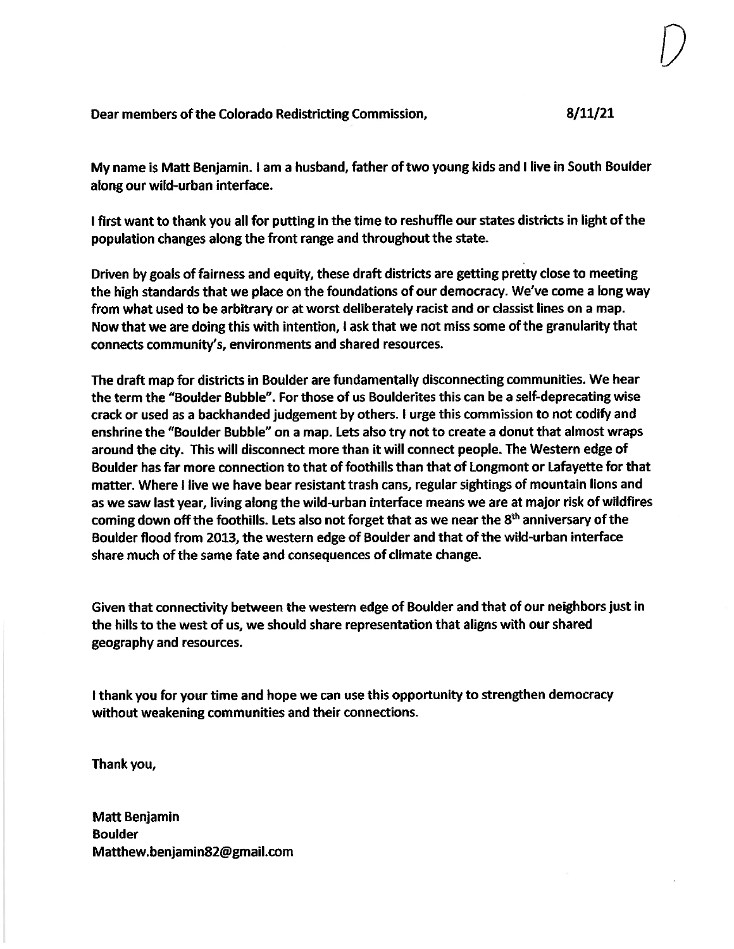Dear members of the Colorado Redistricting Commission,

### $8/11/21$

My name is Matt Benjamin. I am a husband, father of two young kids and I live in South Boulder along our wild-urban interface.

I first want to thank you all for putting in the time to reshuffle our states districts in light of the population changes along the front range and throughout the state.

Driven by goals of fairness and equity, these draft districts are getting pretty close to meeting the high standards that we place on the foundations of our democracy. We've come a long way from what used to be arbitrary or at worst deliberately racist and or classist lines on a map. Now that we are doing this with intention, I ask that we not miss some of the granularity that connects community's, environments and shared resources.

The draft map for districts in Boulder are fundamentally disconnecting communities. We hear the term the "Boulder Bubble". For those of us Boulderites this can be a self-deprecating wise crack or used as a backhanded judgement by others. I urge this commission to not codify and enshrine the "Boulder Bubble" on a map. Lets also try not to create a donut that almost wraps around the city. This will disconnect more than it will connect people. The Western edge of Boulder has far more connection to that of foothills than that of Longmont or Lafayette for that matter. Where I live we have bear resistant trash cans, regular sightings of mountain lions and as we saw last year, living along the wild-urban interface means we are at major risk of wildfires coming down off the foothills. Lets also not forget that as we near the 8<sup>th</sup> anniversary of the Boulder flood from 2013, the western edge of Boulder and that of the wild-urban interface share much of the same fate and consequences of climate change.

Given that connectivity between the western edge of Boulder and that of our neighbors just in the hills to the west of us, we should share representation that aligns with our shared geography and resources.

I thank you for your time and hope we can use this opportunity to strengthen democracy without weakening communities and their connections.

Thank you,

**Matt Benjamin Boulder** Matthew.benjamin82@gmail.com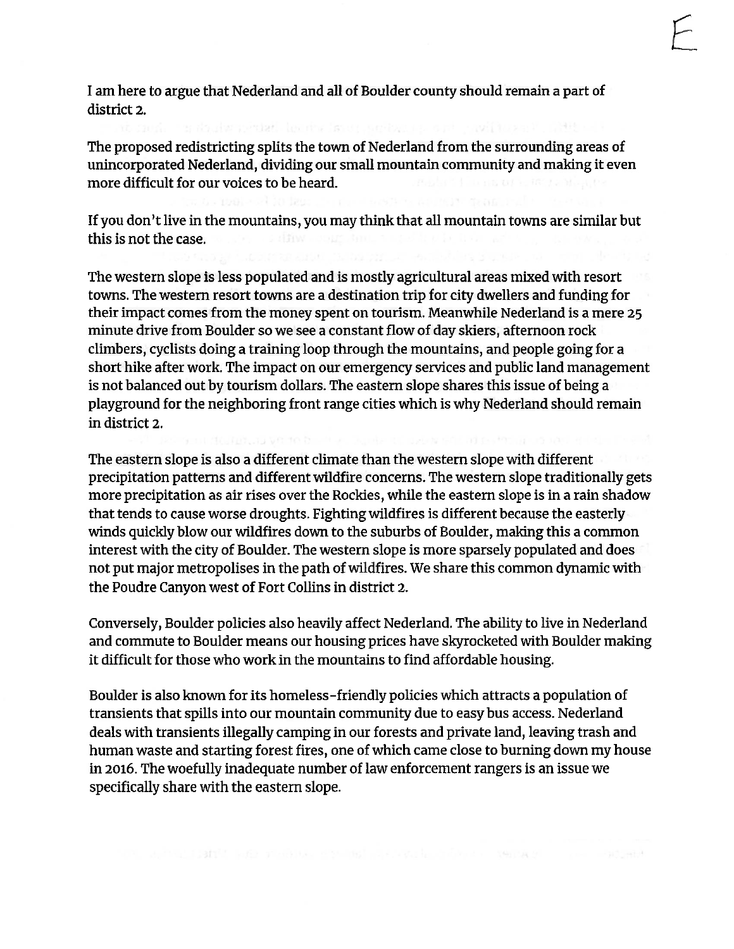I am here to argue that Nederland and all of Boulder county should remain a part of district 2.

The proposed redistricting splits the town of Nederland from the surrounding areas of unincorporated Nederland, dividing our small mountain community and making it even more difficult for our voices to be heard.

If you don't live in the mountains, you may think that all mountain towns are similar but this is not the case.

The western slope is less populated and is mostly agricultural areas mixed with resort towns. The western resort towns are a destination trip for city dwellers and funding for their impact comes from the money spent on tourism. Meanwhile Nederland is a mere 25 minute drive from Boulder so we see a constant flow of day skiers, afternoon rock climbers, cyclists doing a training loop through the mountains, and people going for a short hike after work. The impact on our emergency services and public land management is not balanced out by tourism dollars. The eastern slope shares this issue of being a playground for the neighboring front range cities which is why Nederland should remain in district 2.

The eastern slope is also a different climate than the western slope with different precipitation patterns and different wildfire concerns. The western slope traditionally gets more precipitation as air rises over the Rockies, while the eastern slope is in a rain shadow that tends to cause worse droughts. Fighting wildfires is different because the easterly winds quickly blow our wildfires down to the suburbs of Boulder, making this a common interest with the city of Boulder. The western slope is more sparsely populated and does not put major metropolises in the path of wildfires. We share this common dynamic with the Poudre Canyon west of Fort Collins in district 2.

Conversely, Boulder policies also heavily affect Nederland. The ability to live in Nederland and commute to Boulder means our housing prices have skyrocketed with Boulder making it difficult for those who work in the mountains to find affordable housing.

Boulder is also known for its homeless-friendly policies which attracts a population of transients that spills into our mountain community due to easy bus access. Nederland deals with transients illegally camping in our forests and private land, leaving trash and human waste and starting forest fires, one of which came close to burning down my house in 2016. The woefully inadequate number of law enforcement rangers is an issue we specifically share with the eastern slope.